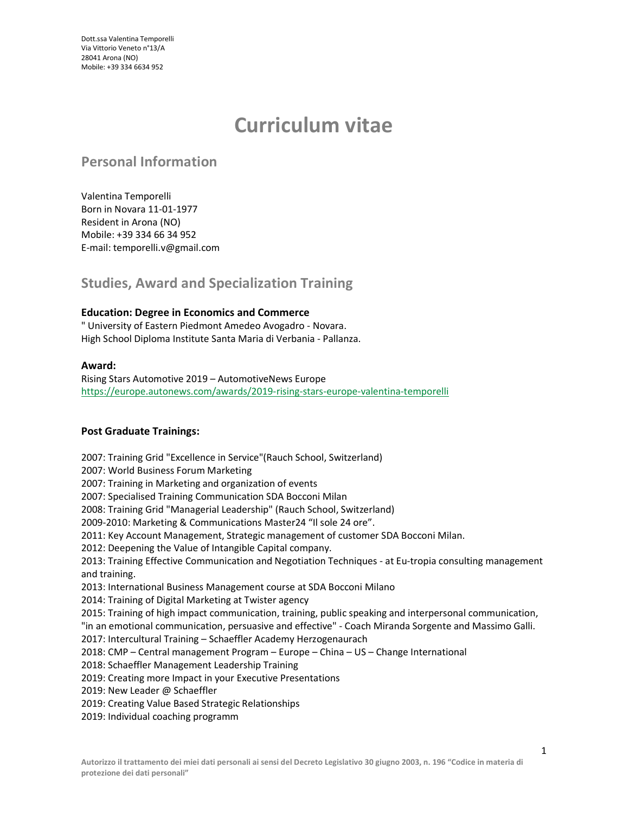Dott.ssa Valentina Temporelli Via Vittorio Veneto n°13/A 28041 Arona (NO) Mobile: +39 334 6634 952

# Curriculum vitae

## Personal Information

Valentina Temporelli Born in Novara 11-01-1977 Resident in Arona (NO) Mobile: +39 334 66 34 952 E-mail: temporelli.v@gmail.com

## Studies, Award and Specialization Training

#### Education: Degree in Economics and Commerce

" University of Eastern Piedmont Amedeo Avogadro - Novara. High School Diploma Institute Santa Maria di Verbania - Pallanza.

#### Award:

Rising Stars Automotive 2019 – AutomotiveNews Europe https://europe.autonews.com/awards/2019-rising-stars-europe-valentina-temporelli

#### Post Graduate Trainings:

2007: Training Grid "Excellence in Service"(Rauch School, Switzerland) 2007: World Business Forum Marketing 2007: Training in Marketing and organization of events 2007: Specialised Training Communication SDA Bocconi Milan 2008: Training Grid "Managerial Leadership" (Rauch School, Switzerland) 2009-2010: Marketing & Communications Master24 "Il sole 24 ore". 2011: Key Account Management, Strategic management of customer SDA Bocconi Milan. 2012: Deepening the Value of Intangible Capital company. 2013: Training Effective Communication and Negotiation Techniques - at Eu-tropia consulting management and training. 2013: International Business Management course at SDA Bocconi Milano 2014: Training of Digital Marketing at Twister agency 2015: Training of high impact communication, training, public speaking and interpersonal communication, "in an emotional communication, persuasive and effective" - Coach Miranda Sorgente and Massimo Galli. 2017: Intercultural Training – Schaeffler Academy Herzogenaurach 2018: CMP – Central management Program – Europe – China – US – Change International 2018: Schaeffler Management Leadership Training 2019: Creating more Impact in your Executive Presentations 2019: New Leader @ Schaeffler 2019: Creating Value Based Strategic Relationships 2019: Individual coaching programm